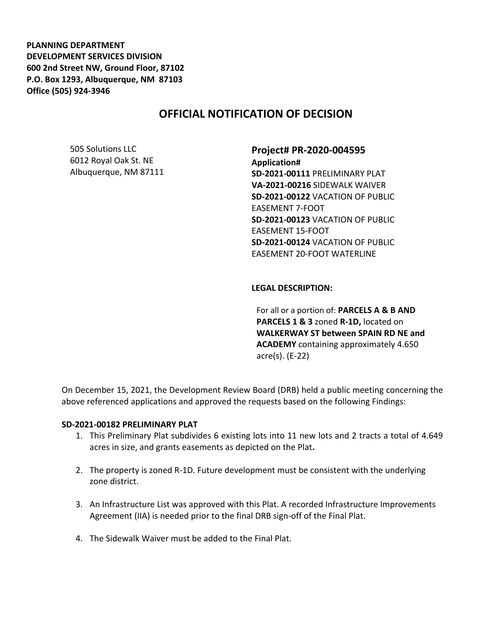**PLANNING DEPARTMENT DEVELOPMENT SERVICES DIVISION 600 2nd Street NW, Ground Floor, 87102 P.O. Box 1293, Albuquerque, NM 87103 Office (505) 924-3946** 

# **OFFICIAL NOTIFICATION OF DECISION**

505 Solutions LLC 6012 Royal Oak St. NE Albuquerque, NM 87111 **Project# PR-2020-004595 Application# SD-2021-00111** PRELIMINARY PLAT **VA-2021-00216** SIDEWALK WAIVER **SD-2021-00122** VACATION OF PUBLIC EASEMENT 7-FOOT **SD-2021-00123** VACATION OF PUBLIC EASEMENT 15-FOOT **SD-2021-00124** VACATION OF PUBLIC EASEMENT 20-FOOT WATERLINE

#### **LEGAL DESCRIPTION:**

For all or a portion of: **PARCELS A & B AND PARCELS 1 & 3** zoned **R-1D,** located on **WALKERWAY ST between SPAIN RD NE and ACADEMY** containing approximately 4.650 acre(s). (E-22)

On December 15, 2021, the Development Review Board (DRB) held a public meeting concerning the above referenced applications and approved the requests based on the following Findings:

#### **SD-2021-00182 PRELIMINARY PLAT**

- 1. This Preliminary Plat subdivides 6 existing lots into 11 new lots and 2 tracts a total of 4.649 acres in size, and grants easements as depicted on the Plat**.**
- 2. The property is zoned R-1D. Future development must be consistent with the underlying zone district.
- 3. An Infrastructure List was approved with this Plat. A recorded Infrastructure Improvements Agreement (IIA) is needed prior to the final DRB sign-off of the Final Plat.
- 4. The Sidewalk Waiver must be added to the Final Plat.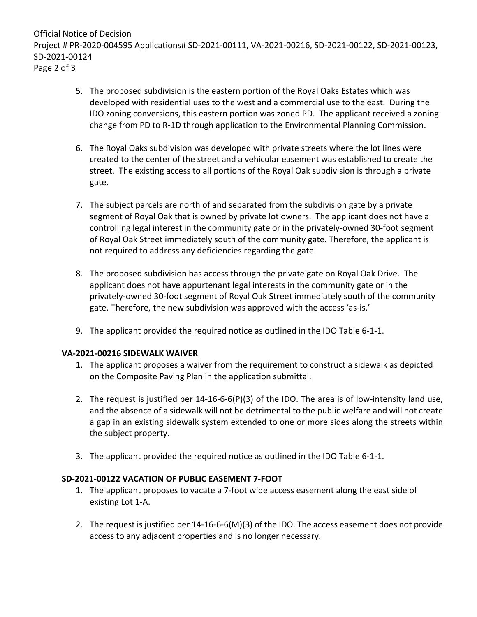Official Notice of Decision Project # PR-2020-004595 Applications# SD-2021-00111, VA-2021-00216, SD-2021-00122, SD-2021-00123, SD-2021-00124 Page 2 of 3

- 5. The proposed subdivision is the eastern portion of the Royal Oaks Estates which was developed with residential uses to the west and a commercial use to the east. During the IDO zoning conversions, this eastern portion was zoned PD. The applicant received a zoning change from PD to R-1D through application to the Environmental Planning Commission.
- 6. The Royal Oaks subdivision was developed with private streets where the lot lines were created to the center of the street and a vehicular easement was established to create the street. The existing access to all portions of the Royal Oak subdivision is through a private gate.
- 7. The subject parcels are north of and separated from the subdivision gate by a private segment of Royal Oak that is owned by private lot owners. The applicant does not have a controlling legal interest in the community gate or in the privately-owned 30-foot segment of Royal Oak Street immediately south of the community gate. Therefore, the applicant is not required to address any deficiencies regarding the gate.
- 8. The proposed subdivision has access through the private gate on Royal Oak Drive. The applicant does not have appurtenant legal interests in the community gate or in the privately-owned 30-foot segment of Royal Oak Street immediately south of the community gate. Therefore, the new subdivision was approved with the access 'as-is.'
- 9. The applicant provided the required notice as outlined in the IDO Table 6-1-1.

### **VA-2021-00216 SIDEWALK WAIVER**

- 1. The applicant proposes a waiver from the requirement to construct a sidewalk as depicted on the Composite Paving Plan in the application submittal.
- 2. The request is justified per 14-16-6-6(P)(3) of the IDO. The area is of low-intensity land use, and the absence of a sidewalk will not be detrimental to the public welfare and will not create a gap in an existing sidewalk system extended to one or more sides along the streets within the subject property.
- 3. The applicant provided the required notice as outlined in the IDO Table 6-1-1.

## **SD-2021-00122 VACATION OF PUBLIC EASEMENT 7-FOOT**

- 1. The applicant proposes to vacate a 7-foot wide access easement along the east side of existing Lot 1-A.
- 2. The request is justified per 14-16-6-6(M)(3) of the IDO. The access easement does not provide access to any adjacent properties and is no longer necessary.